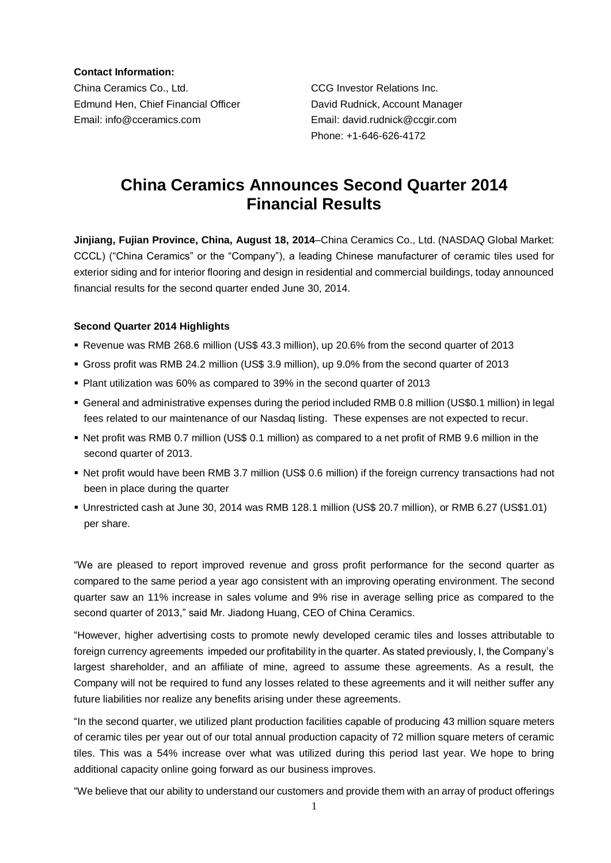**Contact Information:**

China Ceramics Co., Ltd. CCG Investor Relations Inc. Edmund Hen, Chief Financial Officer David Rudnick, Account Manager Email: info@cceramics.com Email: david.rudnick@ccgir.com

Phone: +1-646-626-4172

# **China Ceramics Announces Second Quarter 2014 Financial Results**

**Jinjiang, Fujian Province, China, August 18, 2014**–China Ceramics Co., Ltd. (NASDAQ Global Market: CCCL) ("China Ceramics" or the "Company"), a leading Chinese manufacturer of ceramic tiles used for exterior siding and for interior flooring and design in residential and commercial buildings, today announced financial results for the second quarter ended June 30, 2014.

# **Second Quarter 2014 Highlights**

- Revenue was RMB 268.6 million (US\$ 43.3 million), up 20.6% from the second quarter of 2013
- Gross profit was RMB 24.2 million (US\$ 3.9 million), up 9.0% from the second quarter of 2013
- Plant utilization was 60% as compared to 39% in the second quarter of 2013
- General and administrative expenses during the period included RMB 0.8 million (US\$0.1 million) in legal fees related to our maintenance of our Nasdaq listing. These expenses are not expected to recur.
- Net profit was RMB 0.7 million (US\$ 0.1 million) as compared to a net profit of RMB 9.6 million in the second quarter of 2013.
- Net profit would have been RMB 3.7 million (US\$ 0.6 million) if the foreign currency transactions had not been in place during the quarter
- Unrestricted cash at June 30, 2014 was RMB 128.1 million (US\$ 20.7 million), or RMB 6.27 (US\$1.01) per share.

"We are pleased to report improved revenue and gross profit performance for the second quarter as compared to the same period a year ago consistent with an improving operating environment. The second quarter saw an 11% increase in sales volume and 9% rise in average selling price as compared to the second quarter of 2013," said Mr. Jiadong Huang, CEO of China Ceramics.

"However, higher advertising costs to promote newly developed ceramic tiles and losses attributable to foreign currency agreements impeded our profitability in the quarter. As stated previously, I, the Company's largest shareholder, and an affiliate of mine, agreed to assume these agreements. As a result, the Company will not be required to fund any losses related to these agreements and it will neither suffer any future liabilities nor realize any benefits arising under these agreements.

"In the second quarter, we utilized plant production facilities capable of producing 43 million square meters of ceramic tiles per year out of our total annual production capacity of 72 million square meters of ceramic tiles. This was a 54% increase over what was utilized during this period last year. We hope to bring additional capacity online going forward as our business improves.

"We believe that our ability to understand our customers and provide them with an array of product offerings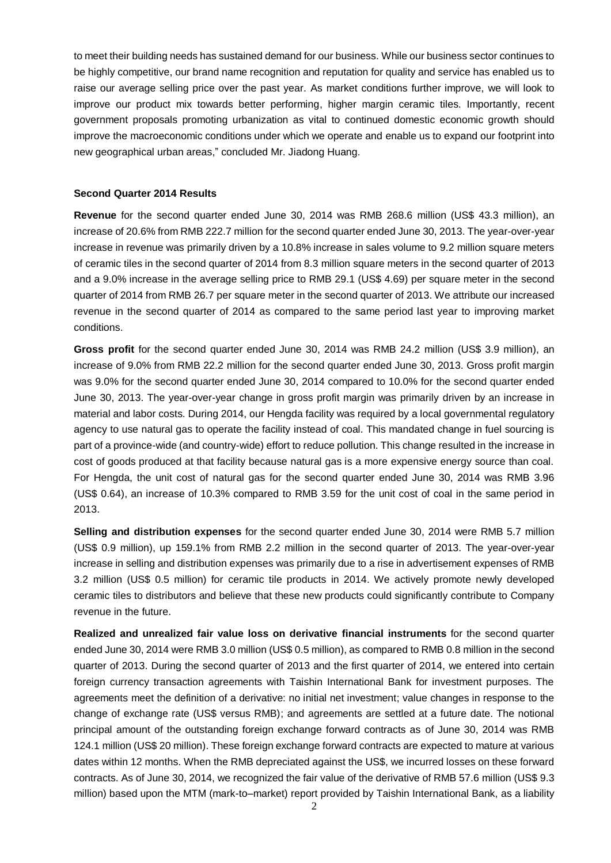to meet their building needs has sustained demand for our business. While our business sector continues to be highly competitive, our brand name recognition and reputation for quality and service has enabled us to raise our average selling price over the past year. As market conditions further improve, we will look to improve our product mix towards better performing, higher margin ceramic tiles. Importantly, recent government proposals promoting urbanization as vital to continued domestic economic growth should improve the macroeconomic conditions under which we operate and enable us to expand our footprint into new geographical urban areas," concluded Mr. Jiadong Huang.

#### **Second Quarter 2014 Results**

**Revenue** for the second quarter ended June 30, 2014 was RMB 268.6 million (US\$ 43.3 million), an increase of 20.6% from RMB 222.7 million for the second quarter ended June 30, 2013. The year-over-year increase in revenue was primarily driven by a 10.8% increase in sales volume to 9.2 million square meters of ceramic tiles in the second quarter of 2014 from 8.3 million square meters in the second quarter of 2013 and a 9.0% increase in the average selling price to RMB 29.1 (US\$ 4.69) per square meter in the second quarter of 2014 from RMB 26.7 per square meter in the second quarter of 2013. We attribute our increased revenue in the second quarter of 2014 as compared to the same period last year to improving market conditions.

**Gross profit** for the second quarter ended June 30, 2014 was RMB 24.2 million (US\$ 3.9 million), an increase of 9.0% from RMB 22.2 million for the second quarter ended June 30, 2013. Gross profit margin was 9.0% for the second quarter ended June 30, 2014 compared to 10.0% for the second quarter ended June 30, 2013. The year-over-year change in gross profit margin was primarily driven by an increase in material and labor costs. During 2014, our Hengda facility was required by a local governmental regulatory agency to use natural gas to operate the facility instead of coal. This mandated change in fuel sourcing is part of a province-wide (and country-wide) effort to reduce pollution. This change resulted in the increase in cost of goods produced at that facility because natural gas is a more expensive energy source than coal. For Hengda, the unit cost of natural gas for the second quarter ended June 30, 2014 was RMB 3.96 (US\$ 0.64), an increase of 10.3% compared to RMB 3.59 for the unit cost of coal in the same period in 2013.

**Selling and distribution expenses** for the second quarter ended June 30, 2014 were RMB 5.7 million (US\$ 0.9 million), up 159.1% from RMB 2.2 million in the second quarter of 2013. The year-over-year increase in selling and distribution expenses was primarily due to a rise in advertisement expenses of RMB 3.2 million (US\$ 0.5 million) for ceramic tile products in 2014. We actively promote newly developed ceramic tiles to distributors and believe that these new products could significantly contribute to Company revenue in the future.

**Realized and unrealized fair value loss on derivative financial instruments** for the second quarter ended June 30, 2014 were RMB 3.0 million (US\$ 0.5 million), as compared to RMB 0.8 million in the second quarter of 2013. During the second quarter of 2013 and the first quarter of 2014, we entered into certain foreign currency transaction agreements with Taishin International Bank for investment purposes. The agreements meet the definition of a derivative: no initial net investment; value changes in response to the change of exchange rate (US\$ versus RMB); and agreements are settled at a future date. The notional principal amount of the outstanding foreign exchange forward contracts as of June 30, 2014 was RMB 124.1 million (US\$ 20 million). These foreign exchange forward contracts are expected to mature at various dates within 12 months. When the RMB depreciated against the US\$, we incurred losses on these forward contracts. As of June 30, 2014, we recognized the fair value of the derivative of RMB 57.6 million (US\$ 9.3 million) based upon the MTM (mark-to–market) report provided by Taishin International Bank, as a liability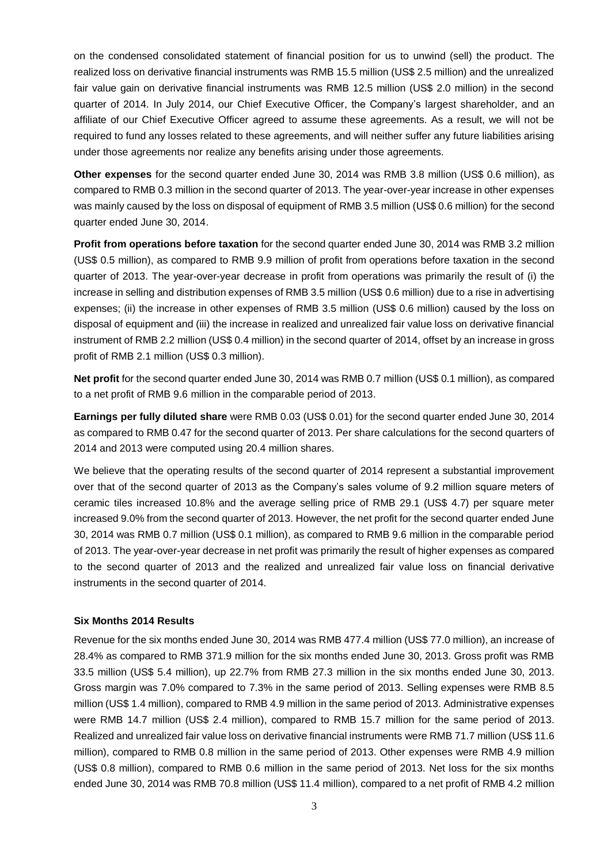on the condensed consolidated statement of financial position for us to unwind (sell) the product. The realized loss on derivative financial instruments was RMB 15.5 million (US\$ 2.5 million) and the unrealized fair value gain on derivative financial instruments was RMB 12.5 million (US\$ 2.0 million) in the second quarter of 2014. In July 2014, our Chief Executive Officer, the Company's largest shareholder, and an affiliate of our Chief Executive Officer agreed to assume these agreements. As a result, we will not be required to fund any losses related to these agreements, and will neither suffer any future liabilities arising under those agreements nor realize any benefits arising under those agreements.

**Other expenses** for the second quarter ended June 30, 2014 was RMB 3.8 million (US\$ 0.6 million), as compared to RMB 0.3 million in the second quarter of 2013. The year-over-year increase in other expenses was mainly caused by the loss on disposal of equipment of RMB 3.5 million (US\$ 0.6 million) for the second quarter ended June 30, 2014.

**Profit from operations before taxation** for the second quarter ended June 30, 2014 was RMB 3.2 million (US\$ 0.5 million), as compared to RMB 9.9 million of profit from operations before taxation in the second quarter of 2013. The year-over-year decrease in profit from operations was primarily the result of (i) the increase in selling and distribution expenses of RMB 3.5 million (US\$ 0.6 million) due to a rise in advertising expenses; (ii) the increase in other expenses of RMB 3.5 million (US\$ 0.6 million) caused by the loss on disposal of equipment and (iii) the increase in realized and unrealized fair value loss on derivative financial instrument of RMB 2.2 million (US\$ 0.4 million) in the second quarter of 2014, offset by an increase in gross profit of RMB 2.1 million (US\$ 0.3 million).

**Net profit** for the second quarter ended June 30, 2014 was RMB 0.7 million (US\$ 0.1 million), as compared to a net profit of RMB 9.6 million in the comparable period of 2013.

**Earnings per fully diluted share** were RMB 0.03 (US\$ 0.01) for the second quarter ended June 30, 2014 as compared to RMB 0.47 for the second quarter of 2013. Per share calculations for the second quarters of 2014 and 2013 were computed using 20.4 million shares.

We believe that the operating results of the second quarter of 2014 represent a substantial improvement over that of the second quarter of 2013 as the Company's sales volume of 9.2 million square meters of ceramic tiles increased 10.8% and the average selling price of RMB 29.1 (US\$ 4.7) per square meter increased 9.0% from the second quarter of 2013. However, the net profit for the second quarter ended June 30, 2014 was RMB 0.7 million (US\$ 0.1 million), as compared to RMB 9.6 million in the comparable period of 2013. The year-over-year decrease in net profit was primarily the result of higher expenses as compared to the second quarter of 2013 and the realized and unrealized fair value loss on financial derivative instruments in the second quarter of 2014.

#### **Six Months 2014 Results**

Revenue for the six months ended June 30, 2014 was RMB 477.4 million (US\$ 77.0 million), an increase of 28.4% as compared to RMB 371.9 million for the six months ended June 30, 2013. Gross profit was RMB 33.5 million (US\$ 5.4 million), up 22.7% from RMB 27.3 million in the six months ended June 30, 2013. Gross margin was 7.0% compared to 7.3% in the same period of 2013. Selling expenses were RMB 8.5 million (US\$ 1.4 million), compared to RMB 4.9 million in the same period of 2013. Administrative expenses were RMB 14.7 million (US\$ 2.4 million), compared to RMB 15.7 million for the same period of 2013. Realized and unrealized fair value loss on derivative financial instruments were RMB 71.7 million (US\$ 11.6 million), compared to RMB 0.8 million in the same period of 2013. Other expenses were RMB 4.9 million (US\$ 0.8 million), compared to RMB 0.6 million in the same period of 2013. Net loss for the six months ended June 30, 2014 was RMB 70.8 million (US\$ 11.4 million), compared to a net profit of RMB 4.2 million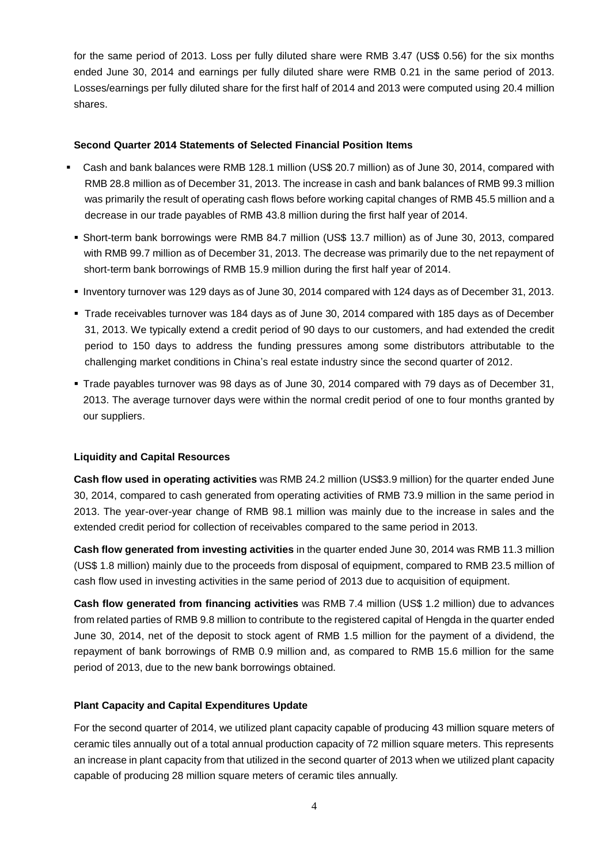for the same period of 2013. Loss per fully diluted share were RMB 3.47 (US\$ 0.56) for the six months ended June 30, 2014 and earnings per fully diluted share were RMB 0.21 in the same period of 2013. Losses/earnings per fully diluted share for the first half of 2014 and 2013 were computed using 20.4 million shares.

# **Second Quarter 2014 Statements of Selected Financial Position Items**

- Cash and bank balances were RMB 128.1 million (US\$ 20.7 million) as of June 30, 2014, compared with RMB 28.8 million as of December 31, 2013. The increase in cash and bank balances of RMB 99.3 million was primarily the result of operating cash flows before working capital changes of RMB 45.5 million and a decrease in our trade payables of RMB 43.8 million during the first half year of 2014.
	- Short-term bank borrowings were RMB 84.7 million (US\$ 13.7 million) as of June 30, 2013, compared with RMB 99.7 million as of December 31, 2013. The decrease was primarily due to the net repayment of short-term bank borrowings of RMB 15.9 million during the first half year of 2014.
	- Inventory turnover was 129 days as of June 30, 2014 compared with 124 days as of December 31, 2013.
	- Trade receivables turnover was 184 days as of June 30, 2014 compared with 185 days as of December 31, 2013. We typically extend a credit period of 90 days to our customers, and had extended the credit period to 150 days to address the funding pressures among some distributors attributable to the challenging market conditions in China's real estate industry since the second quarter of 2012.
	- Trade payables turnover was 98 days as of June 30, 2014 compared with 79 days as of December 31, 2013. The average turnover days were within the normal credit period of one to four months granted by our suppliers.

# **Liquidity and Capital Resources**

**Cash flow used in operating activities** was RMB 24.2 million (US\$3.9 million) for the quarter ended June 30, 2014, compared to cash generated from operating activities of RMB 73.9 million in the same period in 2013. The year-over-year change of RMB 98.1 million was mainly due to the increase in sales and the extended credit period for collection of receivables compared to the same period in 2013.

**Cash flow generated from investing activities** in the quarter ended June 30, 2014 was RMB 11.3 million (US\$ 1.8 million) mainly due to the proceeds from disposal of equipment, compared to RMB 23.5 million of cash flow used in investing activities in the same period of 2013 due to acquisition of equipment.

**Cash flow generated from financing activities** was RMB 7.4 million (US\$ 1.2 million) due to advances from related parties of RMB 9.8 million to contribute to the registered capital of Hengda in the quarter ended June 30, 2014, net of the deposit to stock agent of RMB 1.5 million for the payment of a dividend, the repayment of bank borrowings of RMB 0.9 million and, as compared to RMB 15.6 million for the same period of 2013, due to the new bank borrowings obtained.

# **Plant Capacity and Capital Expenditures Update**

For the second quarter of 2014, we utilized plant capacity capable of producing 43 million square meters of ceramic tiles annually out of a total annual production capacity of 72 million square meters. This represents an increase in plant capacity from that utilized in the second quarter of 2013 when we utilized plant capacity capable of producing 28 million square meters of ceramic tiles annually.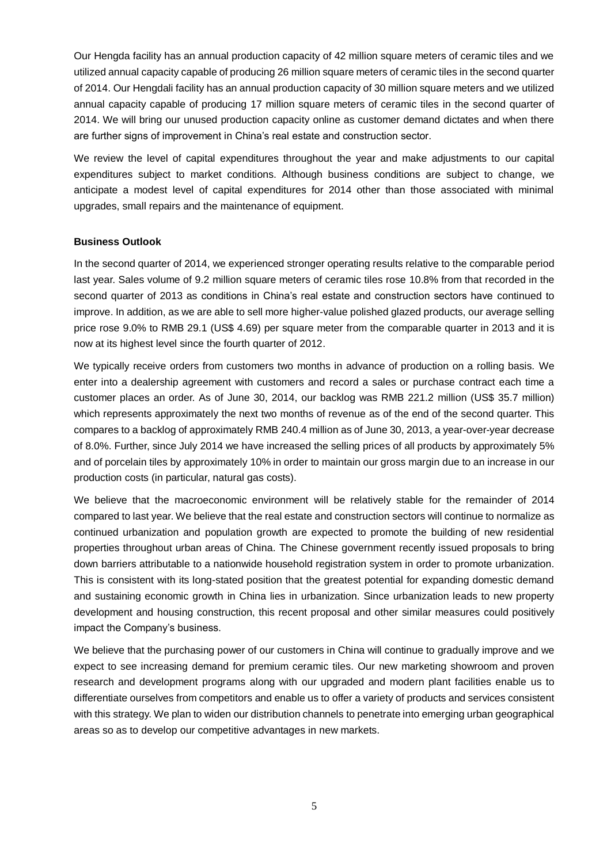Our Hengda facility has an annual production capacity of 42 million square meters of ceramic tiles and we utilized annual capacity capable of producing 26 million square meters of ceramic tiles in the second quarter of 2014. Our Hengdali facility has an annual production capacity of 30 million square meters and we utilized annual capacity capable of producing 17 million square meters of ceramic tiles in the second quarter of 2014. We will bring our unused production capacity online as customer demand dictates and when there are further signs of improvement in China's real estate and construction sector.

We review the level of capital expenditures throughout the year and make adjustments to our capital expenditures subject to market conditions. Although business conditions are subject to change, we anticipate a modest level of capital expenditures for 2014 other than those associated with minimal upgrades, small repairs and the maintenance of equipment.

# **Business Outlook**

In the second quarter of 2014, we experienced stronger operating results relative to the comparable period last year. Sales volume of 9.2 million square meters of ceramic tiles rose 10.8% from that recorded in the second quarter of 2013 as conditions in China's real estate and construction sectors have continued to improve. In addition, as we are able to sell more higher-value polished glazed products, our average selling price rose 9.0% to RMB 29.1 (US\$ 4.69) per square meter from the comparable quarter in 2013 and it is now at its highest level since the fourth quarter of 2012.

We typically receive orders from customers two months in advance of production on a rolling basis. We enter into a dealership agreement with customers and record a sales or purchase contract each time a customer places an order. As of June 30, 2014, our backlog was RMB 221.2 million (US\$ 35.7 million) which represents approximately the next two months of revenue as of the end of the second quarter. This compares to a backlog of approximately RMB 240.4 million as of June 30, 2013, a year-over-year decrease of 8.0%. Further, since July 2014 we have increased the selling prices of all products by approximately 5% and of porcelain tiles by approximately 10% in order to maintain our gross margin due to an increase in our production costs (in particular, natural gas costs).

We believe that the macroeconomic environment will be relatively stable for the remainder of 2014 compared to last year. We believe that the real estate and construction sectors will continue to normalize as continued urbanization and population growth are expected to promote the building of new residential properties throughout urban areas of China. The Chinese government recently issued proposals to bring down barriers attributable to a nationwide household registration system in order to promote urbanization. This is consistent with its long-stated position that the greatest potential for expanding domestic demand and sustaining economic growth in China lies in urbanization. Since urbanization leads to new property development and housing construction, this recent proposal and other similar measures could positively impact the Company's business.

We believe that the purchasing power of our customers in China will continue to gradually improve and we expect to see increasing demand for premium ceramic tiles. Our new marketing showroom and proven research and development programs along with our upgraded and modern plant facilities enable us to differentiate ourselves from competitors and enable us to offer a variety of products and services consistent with this strategy. We plan to widen our distribution channels to penetrate into emerging urban geographical areas so as to develop our competitive advantages in new markets.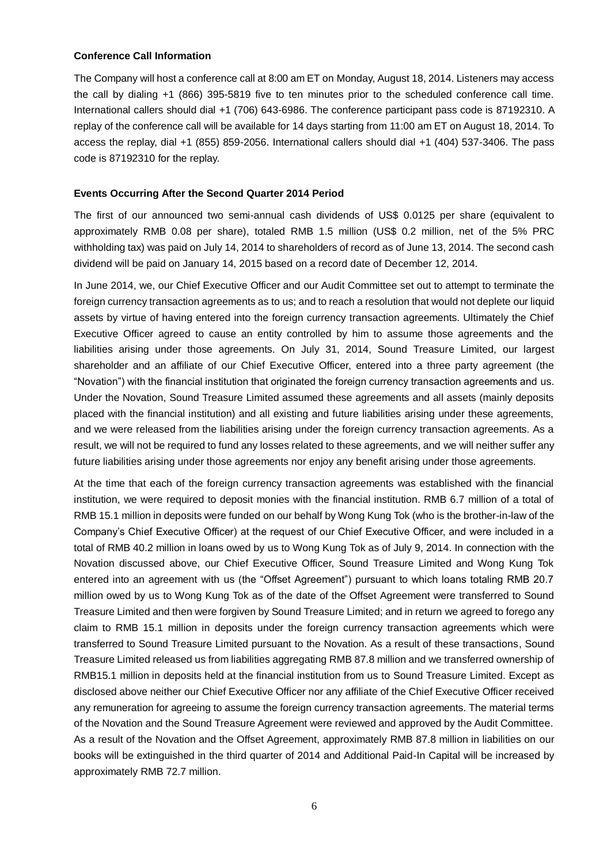#### **Conference Call Information**

The Company will host a conference call at 8:00 am ET on Monday, August 18, 2014. Listeners may access the call by dialing +1 (866) 395-5819 five to ten minutes prior to the scheduled conference call time. International callers should dial +1 (706) 643-6986. The conference participant pass code is 87192310. A replay of the conference call will be available for 14 days starting from 11:00 am ET on August 18, 2014. To access the replay, dial +1 (855) 859-2056. International callers should dial +1 (404) 537-3406. The pass code is 87192310 for the replay.

## **Events Occurring After the Second Quarter 2014 Period**

The first of our announced two semi-annual cash dividends of US\$ 0.0125 per share (equivalent to approximately RMB 0.08 per share), totaled RMB 1.5 million (US\$ 0.2 million, net of the 5% PRC withholding tax) was paid on July 14, 2014 to shareholders of record as of June 13, 2014. The second cash dividend will be paid on January 14, 2015 based on a record date of December 12, 2014.

In June 2014, we, our Chief Executive Officer and our Audit Committee set out to attempt to terminate the foreign currency transaction agreements as to us; and to reach a resolution that would not deplete our liquid assets by virtue of having entered into the foreign currency transaction agreements. Ultimately the Chief Executive Officer agreed to cause an entity controlled by him to assume those agreements and the liabilities arising under those agreements. On July 31, 2014, Sound Treasure Limited, our largest shareholder and an affiliate of our Chief Executive Officer, entered into a three party agreement (the "Novation") with the financial institution that originated the foreign currency transaction agreements and us. Under the Novation, Sound Treasure Limited assumed these agreements and all assets (mainly deposits placed with the financial institution) and all existing and future liabilities arising under these agreements, and we were released from the liabilities arising under the foreign currency transaction agreements. As a result, we will not be required to fund any losses related to these agreements, and we will neither suffer any future liabilities arising under those agreements nor enjoy any benefit arising under those agreements.

At the time that each of the foreign currency transaction agreements was established with the financial institution, we were required to deposit monies with the financial institution. RMB 6.7 million of a total of RMB 15.1 million in deposits were funded on our behalf by Wong Kung Tok (who is the brother-in-law of the Company's Chief Executive Officer) at the request of our Chief Executive Officer, and were included in a total of RMB 40.2 million in loans owed by us to Wong Kung Tok as of July 9, 2014. In connection with the Novation discussed above, our Chief Executive Officer, Sound Treasure Limited and Wong Kung Tok entered into an agreement with us (the "Offset Agreement") pursuant to which loans totaling RMB 20.7 million owed by us to Wong Kung Tok as of the date of the Offset Agreement were transferred to Sound Treasure Limited and then were forgiven by Sound Treasure Limited; and in return we agreed to forego any claim to RMB 15.1 million in deposits under the foreign currency transaction agreements which were transferred to Sound Treasure Limited pursuant to the Novation. As a result of these transactions, Sound Treasure Limited released us from liabilities aggregating RMB 87.8 million and we transferred ownership of RMB15.1 million in deposits held at the financial institution from us to Sound Treasure Limited. Except as disclosed above neither our Chief Executive Officer nor any affiliate of the Chief Executive Officer received any remuneration for agreeing to assume the foreign currency transaction agreements. The material terms of the Novation and the Sound Treasure Agreement were reviewed and approved by the Audit Committee. As a result of the Novation and the Offset Agreement, approximately RMB 87.8 million in liabilities on our books will be extinguished in the third quarter of 2014 and Additional Paid-In Capital will be increased by approximately RMB 72.7 million.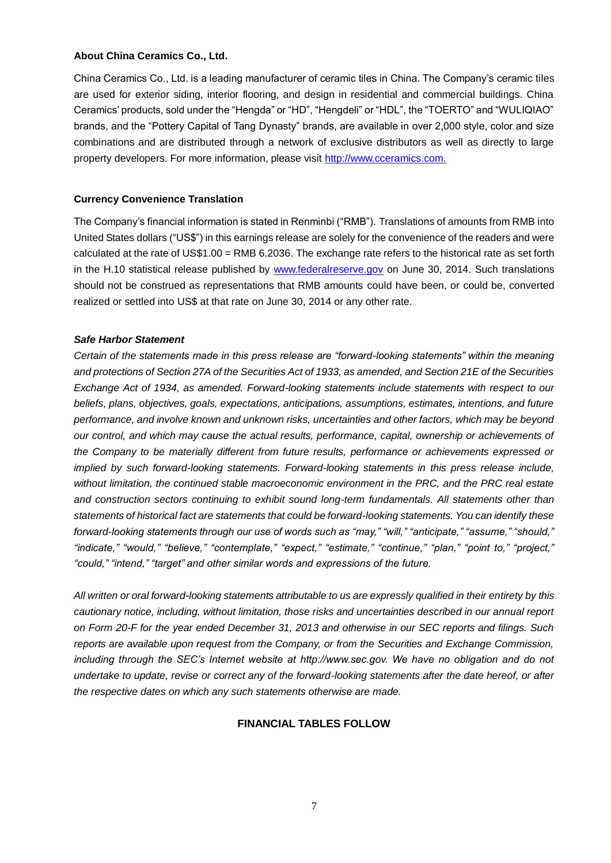#### **About China Ceramics Co., Ltd.**

China Ceramics Co., Ltd. is a leading manufacturer of ceramic tiles in China. The Company's ceramic tiles are used for exterior siding, interior flooring, and design in residential and commercial buildings. China Ceramics' products, sold under the "Hengda" or "HD", "Hengdeli" or "HDL", the "TOERTO" and "WULIQIAO" brands, and the "Pottery Capital of Tang Dynasty" brands, are available in over 2,000 style, color and size combinations and are distributed through a network of exclusive distributors as well as directly to large property developers. For more information, please visit [http://www.cceramics.com.](http://www.cceramics.com/)

# **Currency Convenience Translation**

The Company's financial information is stated in Renminbi ("RMB"). Translations of amounts from RMB into United States dollars ("US\$") in this earnings release are solely for the convenience of the readers and were calculated at the rate of US\$1.00 = RMB 6.2036. The exchange rate refers to the historical rate as set forth in the H.10 statistical release published by [www.federalreserve.gov](http://www.federalreserve.gov/) on June 30, 2014. Such translations should not be construed as representations that RMB amounts could have been, or could be, converted realized or settled into US\$ at that rate on June 30, 2014 or any other rate.

## *Safe Harbor Statement*

*Certain of the statements made in this press release are "forward-looking statements" within the meaning and protections of Section 27A of the Securities Act of 1933, as amended, and Section 21E of the Securities Exchange Act of 1934, as amended. Forward-looking statements include statements with respect to our beliefs, plans, objectives, goals, expectations, anticipations, assumptions, estimates, intentions, and future performance, and involve known and unknown risks, uncertainties and other factors, which may be beyond our control, and which may cause the actual results, performance, capital, ownership or achievements of the Company to be materially different from future results, performance or achievements expressed or implied by such forward-looking statements. Forward-looking statements in this press release include, without limitation, the continued stable macroeconomic environment in the PRC, and the PRC real estate and construction sectors continuing to exhibit sound long-term fundamentals. All statements other than statements of historical fact are statements that could be forward-looking statements. You can identify these forward-looking statements through our use of words such as "may," "will," "anticipate," "assume," "should," "indicate," "would," "believe," "contemplate," "expect," "estimate," "continue," "plan," "point to," "project," "could," "intend," "target" and other similar words and expressions of the future.* 

*All written or oral forward-looking statements attributable to us are expressly qualified in their entirety by this cautionary notice, including, without limitation, those risks and uncertainties described in our annual report on Form 20-F for the year ended December 31, 2013 and otherwise in our SEC reports and filings. Such reports are available upon request from the Company, or from the Securities and Exchange Commission, including through the SEC's Internet website at http://www.sec.gov. We have no obligation and do not undertake to update, revise or correct any of the forward-looking statements after the date hereof, or after the respective dates on which any such statements otherwise are made.*

# **FINANCIAL TABLES FOLLOW**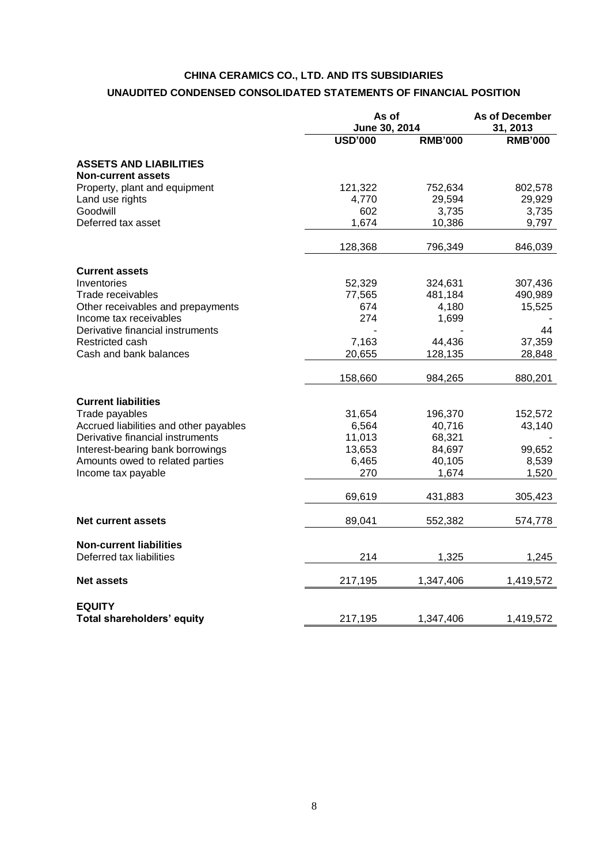# **CHINA CERAMICS CO., LTD. AND ITS SUBSIDIARIES UNAUDITED CONDENSED CONSOLIDATED STATEMENTS OF FINANCIAL POSITION**

|                                                            |                | As of<br>June 30, 2014 |                |
|------------------------------------------------------------|----------------|------------------------|----------------|
|                                                            | <b>USD'000</b> | <b>RMB'000</b>         | <b>RMB'000</b> |
| <b>ASSETS AND LIABILITIES</b><br><b>Non-current assets</b> |                |                        |                |
| Property, plant and equipment                              | 121,322        | 752,634                | 802,578        |
| Land use rights                                            | 4,770          | 29,594                 | 29,929         |
| Goodwill                                                   | 602            | 3,735                  | 3,735          |
| Deferred tax asset                                         | 1,674          | 10,386                 | 9,797          |
|                                                            | 128,368        | 796,349                | 846,039        |
| <b>Current assets</b>                                      |                |                        |                |
| Inventories                                                | 52,329         | 324,631                | 307,436        |
| Trade receivables                                          | 77,565         | 481,184                | 490,989        |
| Other receivables and prepayments                          | 674            | 4,180                  | 15,525         |
| Income tax receivables                                     | 274            | 1,699                  |                |
| Derivative financial instruments                           |                |                        | 44             |
| Restricted cash                                            | 7,163          | 44,436                 | 37,359         |
| Cash and bank balances                                     | 20,655         | 128,135                | 28,848         |
|                                                            | 158,660        | 984,265                | 880,201        |
| <b>Current liabilities</b>                                 |                |                        |                |
| Trade payables                                             | 31,654         | 196,370                | 152,572        |
| Accrued liabilities and other payables                     | 6,564          | 40,716                 | 43,140         |
| Derivative financial instruments                           | 11,013         | 68,321                 |                |
| Interest-bearing bank borrowings                           | 13,653         | 84,697                 | 99,652         |
| Amounts owed to related parties                            | 6,465          | 40,105                 | 8,539          |
| Income tax payable                                         | 270            | 1,674                  | 1,520          |
|                                                            | 69,619         | 431,883                | 305,423        |
| <b>Net current assets</b>                                  | 89,041         | 552,382                | 574,778        |
| <b>Non-current liabilities</b>                             |                |                        |                |
| Deferred tax liabilities                                   | 214            | 1,325                  | 1,245          |
| <b>Net assets</b>                                          | 217,195        | 1,347,406              | 1,419,572      |
| <b>EQUITY</b>                                              |                |                        |                |
| Total shareholders' equity                                 | 217,195        | 1,347,406              | 1,419,572      |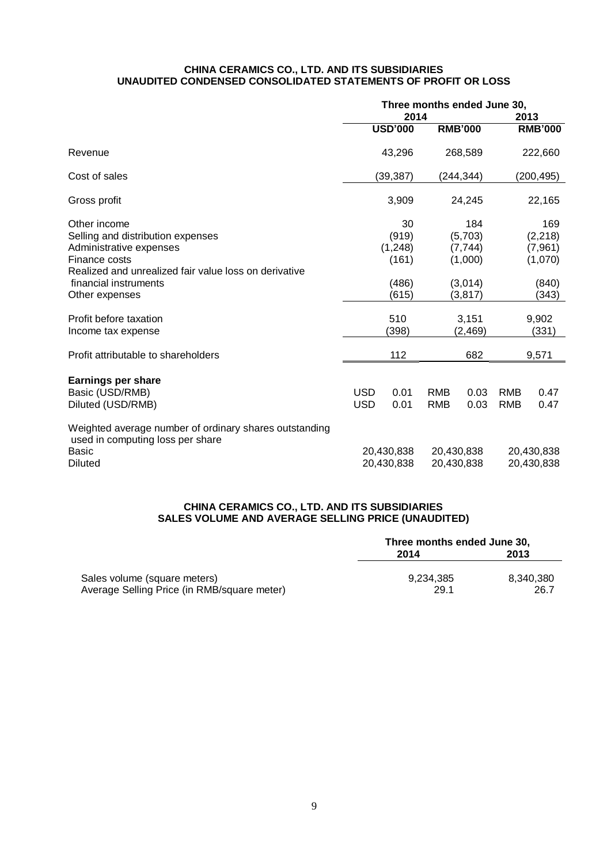#### **CHINA CERAMICS CO., LTD. AND ITS SUBSIDIARIES UNAUDITED CONDENSED CONSOLIDATED STATEMENTS OF PROFIT OR LOSS**

|                                                                                            | Three months ended June 30, |                |            |                |            |                |
|--------------------------------------------------------------------------------------------|-----------------------------|----------------|------------|----------------|------------|----------------|
|                                                                                            | 2014                        |                |            | 2013           |            |                |
|                                                                                            |                             | <b>USD'000</b> |            | <b>RMB'000</b> |            | <b>RMB'000</b> |
| Revenue                                                                                    |                             | 43,296         |            | 268,589        |            | 222,660        |
| Cost of sales                                                                              |                             | (39, 387)      |            | (244, 344)     |            | (200, 495)     |
| Gross profit                                                                               |                             | 3,909          |            | 24,245         |            | 22,165         |
| Other income                                                                               |                             | 30             |            | 184            |            | 169            |
| Selling and distribution expenses                                                          | (919)                       |                |            | (5,703)        | (2, 218)   |                |
| Administrative expenses                                                                    | (1, 248)                    |                | (7, 744)   |                | (7, 961)   |                |
| Finance costs                                                                              |                             | (161)          |            | (1,000)        |            | (1,070)        |
| Realized and unrealized fair value loss on derivative                                      |                             |                |            |                |            |                |
| financial instruments                                                                      |                             | (486)          |            | (3,014)        |            | (840)          |
| Other expenses                                                                             |                             | (615)          |            | (3, 817)       |            | (343)          |
|                                                                                            |                             |                |            |                |            |                |
| Profit before taxation                                                                     | 510<br>3,151                |                | 9,902      |                |            |                |
| Income tax expense                                                                         |                             | (398)          |            | (2,469)        |            | (331)          |
| Profit attributable to shareholders                                                        |                             | 112            |            | 682            |            | 9,571          |
|                                                                                            |                             |                |            |                |            |                |
| <b>Earnings per share</b>                                                                  |                             |                |            |                |            |                |
| Basic (USD/RMB)                                                                            | <b>USD</b>                  | 0.01           | <b>RMB</b> | 0.03           | <b>RMB</b> | 0.47           |
| Diluted (USD/RMB)                                                                          | <b>USD</b>                  | 0.01           | <b>RMB</b> | 0.03           | <b>RMB</b> | 0.47           |
| Weighted average number of ordinary shares outstanding<br>used in computing loss per share |                             |                |            |                |            |                |
| <b>Basic</b>                                                                               |                             | 20,430,838     | 20,430,838 |                | 20,430,838 |                |
| <b>Diluted</b>                                                                             | 20,430,838                  |                | 20,430,838 |                | 20,430,838 |                |

# **CHINA CERAMICS CO., LTD. AND ITS SUBSIDIARIES SALES VOLUME AND AVERAGE SELLING PRICE (UNAUDITED)**

|                                             | Three months ended June 30, |           |  |
|---------------------------------------------|-----------------------------|-----------|--|
|                                             | 2014                        | 2013      |  |
| Sales volume (square meters)                | 9.234.385                   | 8.340.380 |  |
| Average Selling Price (in RMB/square meter) | 29.1                        | 26.7      |  |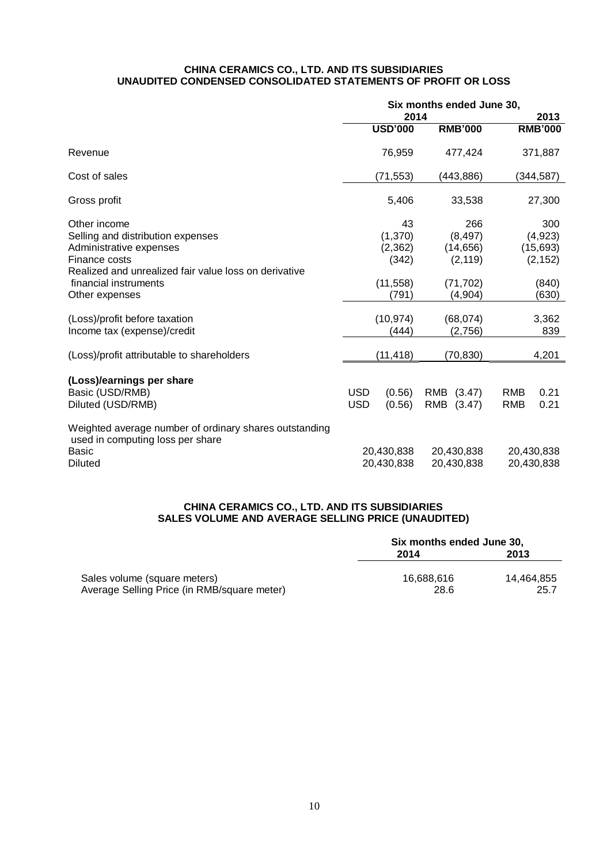#### **CHINA CERAMICS CO., LTD. AND ITS SUBSIDIARIES UNAUDITED CONDENSED CONSOLIDATED STATEMENTS OF PROFIT OR LOSS**

|                                                                                            | Six months ended June 30, |                    |            |                     |            |                |  |
|--------------------------------------------------------------------------------------------|---------------------------|--------------------|------------|---------------------|------------|----------------|--|
|                                                                                            | 2014                      |                    |            |                     | 2013       |                |  |
|                                                                                            |                           | <b>USD'000</b>     |            | <b>RMB'000</b>      |            | <b>RMB'000</b> |  |
| Revenue                                                                                    |                           | 76,959             |            | 477,424             |            | 371,887        |  |
| Cost of sales                                                                              |                           | (71,553)           |            | (443,886)           |            | (344,587)      |  |
| Gross profit                                                                               |                           | 5,406              |            | 33,538              |            | 27,300         |  |
| Other income                                                                               |                           | 43                 |            | 266                 |            | 300            |  |
| Selling and distribution expenses                                                          |                           | (1, 370)           |            | (8, 497)            |            | (4,923)        |  |
| Administrative expenses                                                                    |                           | (2, 362)           |            | (14, 656)           |            | (15, 693)      |  |
| Finance costs                                                                              |                           | (342)              |            | (2, 119)            |            | (2, 152)       |  |
| Realized and unrealized fair value loss on derivative                                      |                           |                    |            |                     |            |                |  |
| financial instruments                                                                      |                           | (11, 558)          |            | (71, 702)           |            | (840)          |  |
| Other expenses                                                                             |                           | (791)              |            | (4, 904)            |            | (630)          |  |
|                                                                                            |                           |                    |            |                     |            |                |  |
| (Loss)/profit before taxation<br>Income tax (expense)/credit                               |                           | (10, 974)<br>(444) |            | (68,074)<br>(2,756) |            | 3,362<br>839   |  |
|                                                                                            |                           |                    |            |                     |            |                |  |
| (Loss)/profit attributable to shareholders                                                 |                           | (11, 418)          |            | (70, 830)           |            | 4,201          |  |
|                                                                                            |                           |                    |            |                     |            |                |  |
| (Loss)/earnings per share                                                                  |                           |                    |            |                     |            |                |  |
| Basic (USD/RMB)                                                                            | <b>USD</b>                | (0.56)             | <b>RMB</b> | (3.47)              | <b>RMB</b> | 0.21           |  |
| Diluted (USD/RMB)                                                                          | <b>USD</b>                | (0.56)             | RMB        | (3.47)              | <b>RMB</b> | 0.21           |  |
| Weighted average number of ordinary shares outstanding<br>used in computing loss per share |                           |                    |            |                     |            |                |  |
| Basic                                                                                      |                           | 20,430,838         |            | 20,430,838          |            | 20,430,838     |  |
| <b>Diluted</b>                                                                             | 20,430,838                |                    | 20,430,838 |                     |            | 20,430,838     |  |

# **CHINA CERAMICS CO., LTD. AND ITS SUBSIDIARIES SALES VOLUME AND AVERAGE SELLING PRICE (UNAUDITED)**

|                                                                             | Six months ended June 30, |                    |  |  |
|-----------------------------------------------------------------------------|---------------------------|--------------------|--|--|
|                                                                             | 2014                      | 2013               |  |  |
| Sales volume (square meters)<br>Average Selling Price (in RMB/square meter) | 16.688.616<br>28.6        | 14.464.855<br>25.7 |  |  |